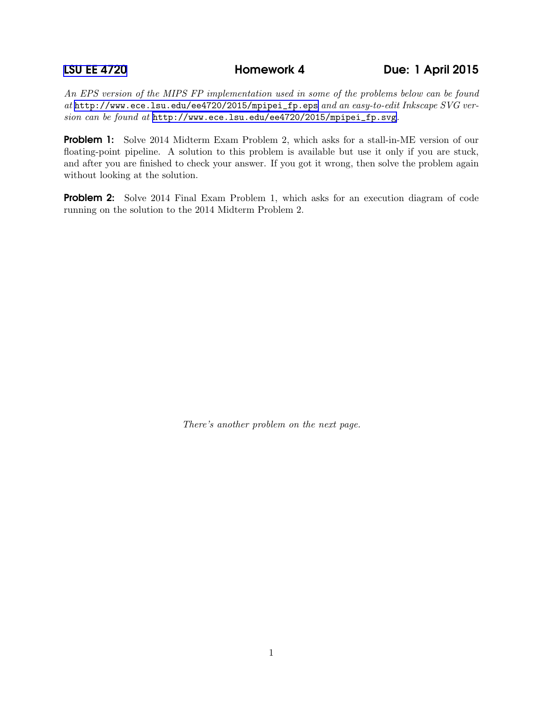*An EPS version of the MIPS FP implementation used in some of the problems below can be found at* [http://www.ece.lsu.edu/ee4720/2015/mpipei\\_fp.eps](http://www.ece.lsu.edu/ee4720/2015/mpipei_fp.eps) *and an easy-to-edit Inkscape SVG version can be found at* [http://www.ece.lsu.edu/ee4720/2015/mpipei\\_fp.svg](http://www.ece.lsu.edu/ee4720/2015/mpipei_fp.svg)*.*

**Problem 1:** Solve 2014 Midterm Exam Problem 2, which asks for a stall-in-ME version of our floating-point pipeline. A solution to this problem is available but use it only if you are stuck, and after you are finished to check your answer. If you got it wrong, then solve the problem again without looking at the solution.

**Problem 2:** Solve 2014 Final Exam Problem 1, which asks for an execution diagram of code running on the solution to the 2014 Midterm Problem 2.

*There's another problem on the next page.*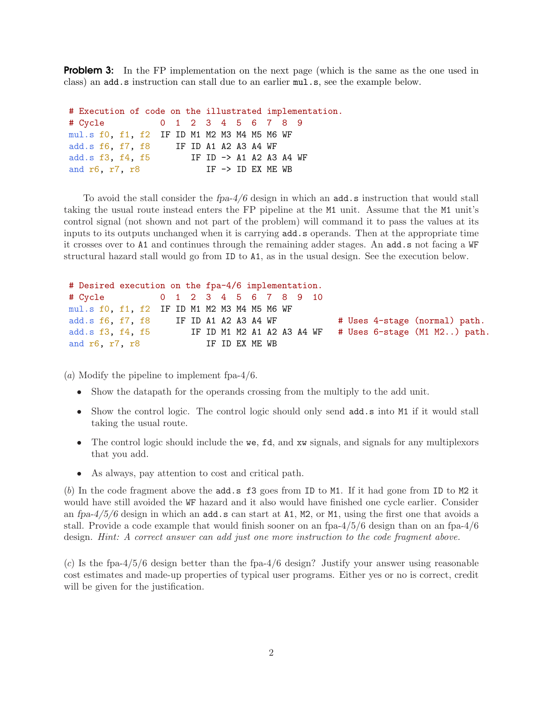**Problem 3:** In the FP implementation on the next page (which is the same as the one used in class) an add.s instruction can stall due to an earlier mul.s, see the example below.

# Execution of code on the illustrated implementation. # Cycle 0 1 2 3 4 5 6 7 8 9 mul.s f0, f1, f2 IF ID M1 M2 M3 M4 M5 M6 WF add.s f6, f7, f8 IF ID A1 A2 A3 A4 WF add.s f3, f4, f5 IF ID -> A1 A2 A3 A4 WF and  $r6$ ,  $r7$ ,  $r8$  IF  $\rightarrow$  ID EX ME WB

To avoid the stall consider the  $fpa-4/6$  design in which an **add.s** instruction that would stall taking the usual route instead enters the FP pipeline at the M1 unit. Assume that the M1 unit's control signal (not shown and not part of the problem) will command it to pass the values at its inputs to its outputs unchanged when it is carrying add.s operands. Then at the appropriate time it crosses over to A1 and continues through the remaining adder stages. An add.s not facing a WF structural hazard stall would go from ID to A1, as in the usual design. See the execution below.

```
# Desired execution on the fpa-4/6 implementation.
# Cycle 0 1 2 3 4 5 6 7 8 9 10
mul.s f0, f1, f2 IF ID M1 M2 M3 M4 M5 M6 WF
add.s f6, f7, f8 IF ID A1 A2 A3 A4 WF \qquad # Uses 4-stage (normal) path.
add.s f3, f4, f5 IF ID M1 M2 A1 A2 A3 A4 WF # Uses 6-stage (M1 M2..) path.
and r6, r7, r8 IF ID EX ME WB
```
(*a*) Modify the pipeline to implement fpa-4/6.

- Show the datapath for the operands crossing from the multiply to the add unit.
- Show the control logic. The control logic should only send add.s into M1 if it would stall taking the usual route.
- The control logic should include the we, fd, and xw signals, and signals for any multiplexors that you add.
- As always, pay attention to cost and critical path.

(*b*) In the code fragment above the add.s f3 goes from ID to M1. If it had gone from ID to M2 it would have still avoided the WF hazard and it also would have finished one cycle earlier. Consider an fpa- $4/5/6$  design in which an add.s can start at A1, M2, or M1, using the first one that avoids a stall. Provide a code example that would finish sooner on an fpa-4/5/6 design than on an fpa-4/6 design. *Hint: A correct answer can add just one more instruction to the code fragment above.*

(*c*) Is the fpa-4/5/6 design better than the fpa-4/6 design? Justify your answer using reasonable cost estimates and made-up properties of typical user programs. Either yes or no is correct, credit will be given for the justification.